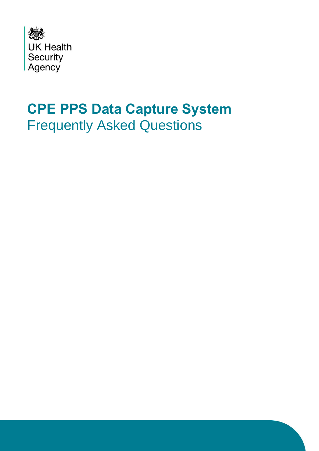

# **CPE PPS Data Capture System**  Frequently Asked Questions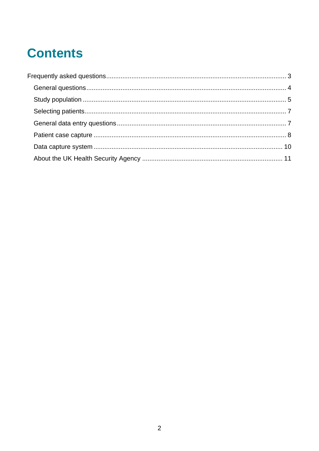# **Contents**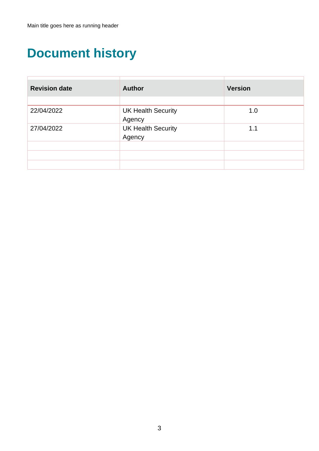# <span id="page-2-0"></span>**Document history**

| <b>Revision date</b> | <b>Author</b>                       | <b>Version</b> |
|----------------------|-------------------------------------|----------------|
|                      |                                     |                |
| 22/04/2022           | <b>UK Health Security</b><br>Agency | 1.0            |
| 27/04/2022           | <b>UK Health Security</b><br>Agency | 1.1            |
|                      |                                     |                |
|                      |                                     |                |
|                      |                                     |                |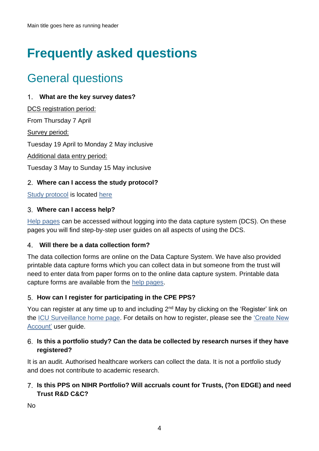# **Frequently asked questions**

## <span id="page-3-0"></span>General questions

#### **What are the key survey dates?**

DCS registration period: From Thursday 7 April Survey period: Tuesday 19 April to Monday 2 May inclusive Additional data entry period: Tuesday 3 May to Sunday 15 May inclusive

#### **Where can I access the study protocol?**

[Study protocol](https://icudcs.phe.org.uk/ContentManagement/LinksAndAnnouncements/CPEPPS_Protocol_v1.0_final.pdf) is located [here](https://icudcs.phe.org.uk/ContentManagement/LinksAndAnnouncements/CPEPPS_Protocol_v1.0_final.pdf)

#### **Where can I access help?**

[Help pages](https://icudcs.phe.org.uk/WebPages/InternalContentPage.aspx?11ovqDVPVmFZOS+J8UxUwWGvxrbYVpaPGY/tFoNYlY0=) can be accessed without logging into the data capture system (DCS). On these pages you will find step-by-step user guides on all aspects of using the DCS.

#### **Will there be a data collection form?**

The data collection forms are online on the Data Capture System. We have also provided printable data capture forms which you can collect data in but someone from the trust will need to enter data from paper forms on to the online data capture system. Printable data capture forms are available from the [help pages.](https://icudcs.phe.org.uk/WebPages/InternalContentPage.aspx?11ovqDVPVmFZOS+J8UxUwWGvxrbYVpaPGY/tFoNYlY0=)

#### **How can I register for participating in the CPE PPS?**

You can register at any time up to and including 2<sup>nd</sup> May by clicking on the 'Register' link on the [ICU Surveillance home page.](https://icudcs.phe.org.uk/WebPages/GeneralHomePage.aspx) For details on how to register, please see the ['Create New](https://icudcs.phe.org.uk/ContentManagement/LinksAndAnnouncements/CPEPPSDCS_UserManagement_Create_New_Account_UserGuide_final.pdf)  [Account'](https://icudcs.phe.org.uk/ContentManagement/LinksAndAnnouncements/CPEPPSDCS_UserManagement_Create_New_Account_UserGuide_final.pdf) user guide.

#### **Is this a portfolio study? Can the data be collected by research nurses if they have registered?**

It is an audit. Authorised healthcare workers can collect the data. It is not a portfolio study and does not contribute to academic research.

#### **Is this PPS on NIHR Portfolio? Will accruals count for Trusts, (?on EDGE) and need Trust R&D C&C?**

No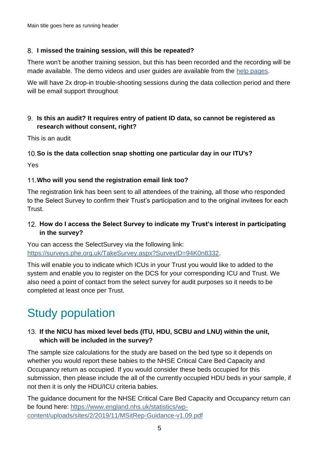#### **I missed the training session, will this be repeated?**

There won't be another training session, but this has been recorded and the recording will be made available. The demo videos and user guides are available from the [help pages.](https://icudcs.phe.org.uk/WebPages/InternalContentPage.aspx?11ovqDVPVmFZOS+J8UxUwWGvxrbYVpaPGY/tFoNYlY0=)

We will have 2x drop-in trouble-shooting sessions during the data collection period and there will be email support throughout

#### **Is this an audit? It requires entry of patient ID data, so cannot be registered as research without consent, right?**

This is an audit

#### **So is the data collection snap shotting one particular day in our ITU's?**

Yes

#### **Who will you send the registration email link too?**

The registration link has been sent to all attendees of the training, all those who responded to the Select Survey to confirm their Trust's participation and to the original invitees for each Trust.

#### **How do I access the Select Survey to indicate my Trust's interest in participating in the survey?**

You can access the SelectSurvey via the following link: [https://surveys.phe.org.uk/TakeSurvey.aspx?SurveyID=94K0n8332.](https://surveys.phe.org.uk/TakeSurvey.aspx?SurveyID=94K0n8332)

This will enable you to indicate which ICUs in your Trust you would like to added to the system and enable you to register on the DCS for your corresponding ICU and Trust. We also need a point of contact from the select survey for audit purposes so it needs to be completed at least once per Trust.

## <span id="page-4-0"></span>Study population

#### **If the NICU has mixed level beds (ITU, HDU, SCBU and LNU) within the unit, which will be included in the survey?**

The sample size calculations for the study are based on the bed type so it depends on whether you would report these babies to the NHSE Critical Care Bed Capacity and Occupancy return as occupied. If you would consider these beds occupied for this submission, then please include the all of the currently occupied HDU beds in your sample, if not then it is only the HDU/ICU criteria babies.

The guidance document for the NHSE Critical Care Bed Capacity and Occupancy return can be found here: [https://www.england.nhs.uk/statistics/wp](https://eur01.safelinks.protection.outlook.com/?url=https%3A%2F%2Fwww.england.nhs.uk%2Fstatistics%2Fwp-content%2Fuploads%2Fsites%2F2%2F2019%2F11%2FMSitRep-Guidance-v1.09.pdf&data=05%7C01%7CJocelyn.Elmes%40phe.gov.uk%7C7de564336607428982a808da22e5299a%7Cee4e14994a354b2ead475f3cf9de8666%7C0%7C0%7C637860664873355722%7CUnknown%7CTWFpbGZsb3d8eyJWIjoiMC4wLjAwMDAiLCJQIjoiV2luMzIiLCJBTiI6Ik1haWwiLCJXVCI6Mn0%3D%7C3000%7C%7C%7C&sdata=LACwEWNQKAFjkThSWTcD0A8PCvkjR5mOyciQMIKkyMg%3D&reserved=0)[content/uploads/sites/2/2019/11/MSitRep-Guidance-v1.09.pdf](https://eur01.safelinks.protection.outlook.com/?url=https%3A%2F%2Fwww.england.nhs.uk%2Fstatistics%2Fwp-content%2Fuploads%2Fsites%2F2%2F2019%2F11%2FMSitRep-Guidance-v1.09.pdf&data=05%7C01%7CJocelyn.Elmes%40phe.gov.uk%7C7de564336607428982a808da22e5299a%7Cee4e14994a354b2ead475f3cf9de8666%7C0%7C0%7C637860664873355722%7CUnknown%7CTWFpbGZsb3d8eyJWIjoiMC4wLjAwMDAiLCJQIjoiV2luMzIiLCJBTiI6Ik1haWwiLCJXVCI6Mn0%3D%7C3000%7C%7C%7C&sdata=LACwEWNQKAFjkThSWTcD0A8PCvkjR5mOyciQMIKkyMg%3D&reserved=0)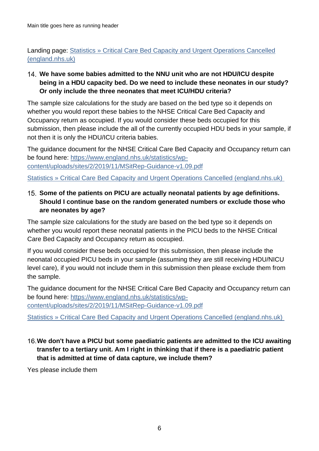Landing page: [Statistics » Critical Care Bed Capacity and Urgent Operations Cancelled](https://eur01.safelinks.protection.outlook.com/?url=https%3A%2F%2Fwww.england.nhs.uk%2Fstatistics%2Fstatistical-work-areas%2Fcritical-care-capacity%2F&data=05%7C01%7CJocelyn.Elmes%40phe.gov.uk%7C7de564336607428982a808da22e5299a%7Cee4e14994a354b2ead475f3cf9de8666%7C0%7C0%7C637860664873355722%7CUnknown%7CTWFpbGZsb3d8eyJWIjoiMC4wLjAwMDAiLCJQIjoiV2luMzIiLCJBTiI6Ik1haWwiLCJXVCI6Mn0%3D%7C3000%7C%7C%7C&sdata=Fc6bznzr0vgJquLrNa4rxOY8QOM6qk4niLCwhrs%2F0gQ%3D&reserved=0)  [\(england.nhs.uk\)](https://eur01.safelinks.protection.outlook.com/?url=https%3A%2F%2Fwww.england.nhs.uk%2Fstatistics%2Fstatistical-work-areas%2Fcritical-care-capacity%2F&data=05%7C01%7CJocelyn.Elmes%40phe.gov.uk%7C7de564336607428982a808da22e5299a%7Cee4e14994a354b2ead475f3cf9de8666%7C0%7C0%7C637860664873355722%7CUnknown%7CTWFpbGZsb3d8eyJWIjoiMC4wLjAwMDAiLCJQIjoiV2luMzIiLCJBTiI6Ik1haWwiLCJXVCI6Mn0%3D%7C3000%7C%7C%7C&sdata=Fc6bznzr0vgJquLrNa4rxOY8QOM6qk4niLCwhrs%2F0gQ%3D&reserved=0)

#### **We have some babies admitted to the NNU unit who are not HDU/ICU despite being in a HDU capacity bed. Do we need to include these neonates in our study? Or only include the three neonates that meet ICU/HDU criteria?**

The sample size calculations for the study are based on the bed type so it depends on whether you would report these babies to the NHSE Critical Care Bed Capacity and Occupancy return as occupied. If you would consider these beds occupied for this submission, then please include the all of the currently occupied HDU beds in your sample, if not then it is only the HDU/ICU criteria babies.

The guidance document for the NHSE Critical Care Bed Capacity and Occupancy return can be found here: [https://www.england.nhs.uk/statistics/wp](https://eur01.safelinks.protection.outlook.com/?url=https%3A%2F%2Fwww.england.nhs.uk%2Fstatistics%2Fwp-content%2Fuploads%2Fsites%2F2%2F2019%2F11%2FMSitRep-Guidance-v1.09.pdf&data=05%7C01%7CJocelyn.Elmes%40phe.gov.uk%7Cc635f1ad3ad941bea99508da27948cfe%7Cee4e14994a354b2ead475f3cf9de8666%7C0%7C0%7C637865816230238980%7CUnknown%7CTWFpbGZsb3d8eyJWIjoiMC4wLjAwMDAiLCJQIjoiV2luMzIiLCJBTiI6Ik1haWwiLCJXVCI6Mn0%3D%7C3000%7C%7C%7C&sdata=D23Z18PgbW%2FgS2twM778rMoXJZltqw7JgLQvWB0n740%3D&reserved=0)[content/uploads/sites/2/2019/11/MSitRep-Guidance-v1.09.pdf](https://eur01.safelinks.protection.outlook.com/?url=https%3A%2F%2Fwww.england.nhs.uk%2Fstatistics%2Fwp-content%2Fuploads%2Fsites%2F2%2F2019%2F11%2FMSitRep-Guidance-v1.09.pdf&data=05%7C01%7CJocelyn.Elmes%40phe.gov.uk%7Cc635f1ad3ad941bea99508da27948cfe%7Cee4e14994a354b2ead475f3cf9de8666%7C0%7C0%7C637865816230238980%7CUnknown%7CTWFpbGZsb3d8eyJWIjoiMC4wLjAwMDAiLCJQIjoiV2luMzIiLCJBTiI6Ik1haWwiLCJXVCI6Mn0%3D%7C3000%7C%7C%7C&sdata=D23Z18PgbW%2FgS2twM778rMoXJZltqw7JgLQvWB0n740%3D&reserved=0)

[Statistics » Critical Care Bed Capacity and Urgent Operations Cancelled \(england.nhs.uk\)](https://eur01.safelinks.protection.outlook.com/?url=https%3A%2F%2Fwww.england.nhs.uk%2Fstatistics%2Fstatistical-work-areas%2Fcritical-care-capacity%2F&data=05%7C01%7CJocelyn.Elmes%40phe.gov.uk%7Cc635f1ad3ad941bea99508da27948cfe%7Cee4e14994a354b2ead475f3cf9de8666%7C0%7C0%7C637865816230238980%7CUnknown%7CTWFpbGZsb3d8eyJWIjoiMC4wLjAwMDAiLCJQIjoiV2luMzIiLCJBTiI6Ik1haWwiLCJXVCI6Mn0%3D%7C3000%7C%7C%7C&sdata=eFpsv7nOaiwpGak8uZm%2FKtg8BxeXLPizi5SuVq1SqCM%3D&reserved=0)

#### **Some of the patients on PICU are actually neonatal patients by age definitions. Should I continue base on the random generated numbers or exclude those who are neonates by age?**

The sample size calculations for the study are based on the bed type so it depends on whether you would report these neonatal patients in the PICU beds to the NHSE Critical Care Bed Capacity and Occupancy return as occupied.

If you would consider these beds occupied for this submission, then please include the neonatal occupied PICU beds in your sample (assuming they are still receiving HDU/NICU level care), if you would not include them in this submission then please exclude them from the sample.

The guidance document for the NHSE Critical Care Bed Capacity and Occupancy return can be found here: [https://www.england.nhs.uk/statistics/wp](https://eur01.safelinks.protection.outlook.com/?url=https%3A%2F%2Fwww.england.nhs.uk%2Fstatistics%2Fwp-content%2Fuploads%2Fsites%2F2%2F2019%2F11%2FMSitRep-Guidance-v1.09.pdf&data=05%7C01%7CJocelyn.Elmes%40phe.gov.uk%7Cb6f2a06028c2406b772b08da279ab298%7Cee4e14994a354b2ead475f3cf9de8666%7C0%7C0%7C637865842616807854%7CUnknown%7CTWFpbGZsb3d8eyJWIjoiMC4wLjAwMDAiLCJQIjoiV2luMzIiLCJBTiI6Ik1haWwiLCJXVCI6Mn0%3D%7C3000%7C%7C%7C&sdata=vH9hbvUI%2BuFFR0v6gQfmVJhMM1g%2BaQKlXYfPbsaUKl4%3D&reserved=0)[content/uploads/sites/2/2019/11/MSitRep-Guidance-v1.09.pdf](https://eur01.safelinks.protection.outlook.com/?url=https%3A%2F%2Fwww.england.nhs.uk%2Fstatistics%2Fwp-content%2Fuploads%2Fsites%2F2%2F2019%2F11%2FMSitRep-Guidance-v1.09.pdf&data=05%7C01%7CJocelyn.Elmes%40phe.gov.uk%7Cb6f2a06028c2406b772b08da279ab298%7Cee4e14994a354b2ead475f3cf9de8666%7C0%7C0%7C637865842616807854%7CUnknown%7CTWFpbGZsb3d8eyJWIjoiMC4wLjAwMDAiLCJQIjoiV2luMzIiLCJBTiI6Ik1haWwiLCJXVCI6Mn0%3D%7C3000%7C%7C%7C&sdata=vH9hbvUI%2BuFFR0v6gQfmVJhMM1g%2BaQKlXYfPbsaUKl4%3D&reserved=0)

[Statistics » Critical Care Bed Capacity and Urgent Operations Cancelled \(england.nhs.uk\)](https://eur01.safelinks.protection.outlook.com/?url=https%3A%2F%2Fwww.england.nhs.uk%2Fstatistics%2Fstatistical-work-areas%2Fcritical-care-capacity%2F&data=05%7C01%7CJocelyn.Elmes%40phe.gov.uk%7Cb6f2a06028c2406b772b08da279ab298%7Cee4e14994a354b2ead475f3cf9de8666%7C0%7C0%7C637865842616807854%7CUnknown%7CTWFpbGZsb3d8eyJWIjoiMC4wLjAwMDAiLCJQIjoiV2luMzIiLCJBTiI6Ik1haWwiLCJXVCI6Mn0%3D%7C3000%7C%7C%7C&sdata=y0U3KgDWgjnWx9ENR8yRl%2F57O1qqPy5Up2nE6%2BO0SF8%3D&reserved=0)

#### **We don't have a PICU but some paediatric patients are admitted to the ICU awaiting transfer to a tertiary unit. Am I right in thinking that if there is a paediatric patient that is admitted at time of data capture, we include them?**

<span id="page-5-0"></span>Yes please include them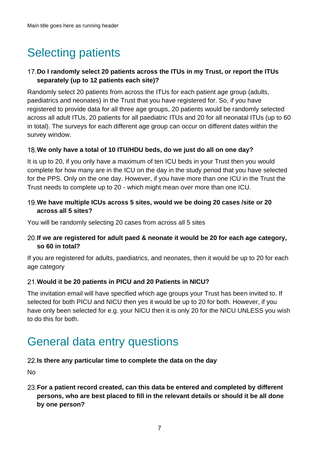## Selecting patients

#### **Do I randomly select 20 patients across the ITUs in my Trust, or report the ITUs separately (up to 12 patients each site)?**

Randomly select 20 patients from across the ITUs for each patient age group (adults, paediatrics and neonates) in the Trust that you have registered for. So, if you have registered to provide data for all three age groups, 20 patients would be randomly selected across all adult ITUs, 20 patients for all paediatric ITUs and 20 for all neonatal ITUs (up to 60 in total). The surveys for each different age group can occur on different dates within the survey window.

#### **We only have a total of 10 ITU/HDU beds, do we just do all on one day?**

It is up to 20, if you only have a maximum of ten ICU beds in your Trust then you would complete for how many are in the ICU on the day in the study period that you have selected for the PPS. Only on the one day. However, if you have more than one ICU in the Trust the Trust needs to complete up to 20 - which might mean over more than one ICU.

#### **We have multiple ICUs across 5 sites, would we be doing 20 cases /site or 20 across all 5 sites?**

You will be randomly selecting 20 cases from across all 5 sites

#### **If we are registered for adult paed & neonate it would be 20 for each age category, so 60 in total?**

If you are registered for adults, paediatrics, and neonates, then it would be up to 20 for each age category

#### **Would it be 20 patients in PICU and 20 Patients in NICU?**

The invitation email will have specified which age groups your Trust has been invited to. If selected for both PICU and NICU then yes it would be up to 20 for both. However, if you have only been selected for e.g. your NICU then it is only 20 for the NICU UNLESS you wish to do this for both.

## <span id="page-6-0"></span>General data entry questions

#### **Is there any particular time to complete the data on the day**

No

**For a patient record created, can this data be entered and completed by different persons, who are best placed to fill in the relevant details or should it be all done by one person?**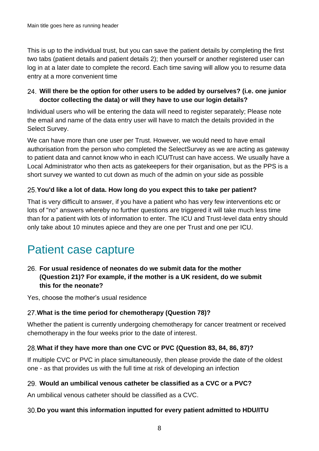This is up to the individual trust, but you can save the patient details by completing the first two tabs (patient details and patient details 2); then yourself or another registered user can log in at a later date to complete the record. Each time saving will allow you to resume data entry at a more convenient time

#### **Will there be the option for other users to be added by ourselves? (i.e. one junior doctor collecting the data) or will they have to use our login details?**

Individual users who will be entering the data will need to register separately; Please note the email and name of the data entry user will have to match the details provided in the Select Survey.

We can have more than one user per Trust. However, we would need to have email authorisation from the person who completed the SelectSurvey as we are acting as gateway to patient data and cannot know who in each ICU/Trust can have access. We usually have a Local Administrator who then acts as gatekeepers for their organisation, but as the PPS is a short survey we wanted to cut down as much of the admin on your side as possible

#### **You'd like a lot of data. How long do you expect this to take per patient?**

That is very difficult to answer, if you have a patient who has very few interventions etc or lots of "no" answers whereby no further questions are triggered it will take much less time than for a patient with lots of information to enter. The ICU and Trust-level data entry should only take about 10 minutes apiece and they are one per Trust and one per ICU.

## <span id="page-7-0"></span>Patient case capture

#### **For usual residence of neonates do we submit data for the mother (Question 21)? For example, if the mother is a UK resident, do we submit this for the neonate?**

Yes, choose the mother's usual residence

#### **What is the time period for chemotherapy (Question 78)?**

Whether the patient is currently undergoing chemotherapy for cancer treatment or received chemotherapy in the four weeks prior to the date of interest.

#### **What if they have more than one CVC or PVC (Question 83, 84, 86, 87)?**

If multiple CVC or PVC in place simultaneously, then please provide the date of the oldest one - as that provides us with the full time at risk of developing an infection

#### **Would an umbilical venous catheter be classified as a CVC or a PVC?**

An umbilical venous catheter should be classified as a CVC.

#### **Do you want this information inputted for every patient admitted to HDU/ITU**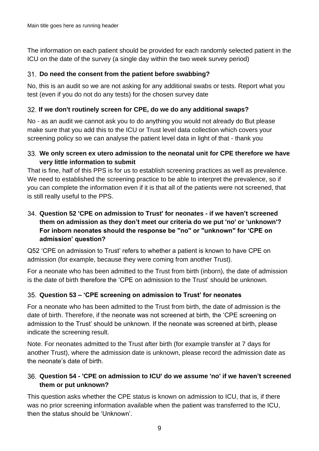The information on each patient should be provided for each randomly selected patient in the ICU on the date of the survey (a single day within the two week survey period)

#### **Do need the consent from the patient before swabbing?**

No, this is an audit so we are not asking for any additional swabs or tests. Report what you test (even if you do not do any tests) for the chosen survey date

#### **If we don't routinely screen for CPE, do we do any additional swaps?**

No - as an audit we cannot ask you to do anything you would not already do But please make sure that you add this to the ICU or Trust level data collection which covers your screening policy so we can analyse the patient level data in light of that - thank you

#### **We only screen ex utero admission to the neonatal unit for CPE therefore we have very little information to submit**

That is fine, half of this PPS is for us to establish screening practices as well as prevalence. We need to established the screening practice to be able to interpret the prevalence, so if you can complete the information even if it is that all of the patients were not screened, that is still really useful to the PPS.

#### **Question 52 'CPE on admission to Trust' for neonates - if we haven't screened them on admission as they don't meet our criteria do we put 'no' or 'unknown'? For inborn neonates should the response be "no" or "unknown" for 'CPE on admission' question?**

Q52 'CPE on admission to Trust' refers to whether a patient is known to have CPE on admission (for example, because they were coming from another Trust).

For a neonate who has been admitted to the Trust from birth (inborn), the date of admission is the date of birth therefore the 'CPE on admission to the Trust' should be unknown.

#### **Question 53 – 'CPE screening on admission to Trust' for neonates**

For a neonate who has been admitted to the Trust from birth, the date of admission is the date of birth. Therefore, if the neonate was not screened at birth, the 'CPE screening on admission to the Trust' should be unknown. If the neonate was screened at birth, please indicate the screening result.

Note. For neonates admitted to the Trust after birth (for example transfer at 7 days for another Trust), where the admission date is unknown, please record the admission date as the neonate's date of birth.

#### **Question 54 - 'CPE on admission to ICU' do we assume 'no' if we haven't screened them or put unknown?**

This question asks whether the CPE status is known on admission to ICU, that is, if there was no prior screening information available when the patient was transferred to the ICU, then the status should be 'Unknown'.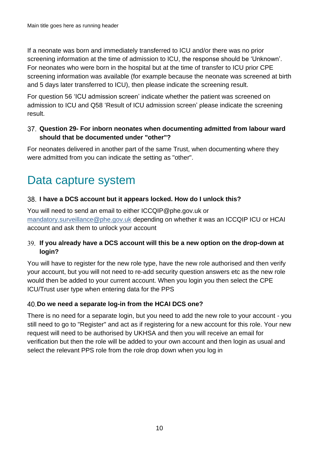If a neonate was born and immediately transferred to ICU and/or there was no prior screening information at the time of admission to ICU, the response should be 'Unknown'. For neonates who were born in the hospital but at the time of transfer to ICU prior CPE screening information was available (for example because the neonate was screened at birth and 5 days later transferred to ICU), then please indicate the screening result.

For question 56 'ICU admission screen' indicate whether the patient was screened on admission to ICU and Q58 'Result of ICU admission screen' please indicate the screening result.

#### **Question 29- For inborn neonates when documenting admitted from labour ward should that be documented under "other"?**

For neonates delivered in another part of the same Trust, when documenting where they were admitted from you can indicate the setting as "other".

## <span id="page-9-0"></span>Data capture system

#### **I have a DCS account but it appears locked. How do I unlock this?**

You will need to send an email to either ICCQIP@phe.gov.uk or [mandatory.surveillance@phe.gov.uk](mailto:mandatory.surveillance@phe.gov.uk) depending on whether it was an ICCQIP ICU or HCAI account and ask them to unlock your account

#### **If you already have a DCS account will this be a new option on the drop-down at login?**

You will have to register for the new role type, have the new role authorised and then verify your account, but you will not need to re-add security question answers etc as the new role would then be added to your current account. When you login you then select the CPE ICU/Trust user type when entering data for the PPS

#### **Do we need a separate log-in from the HCAI DCS one?**

There is no need for a separate login, but you need to add the new role to your account - you still need to go to "Register" and act as if registering for a new account for this role. Your new request will need to be authorised by UKHSA and then you will receive an email for verification but then the role will be added to your own account and then login as usual and select the relevant PPS role from the role drop down when you log in